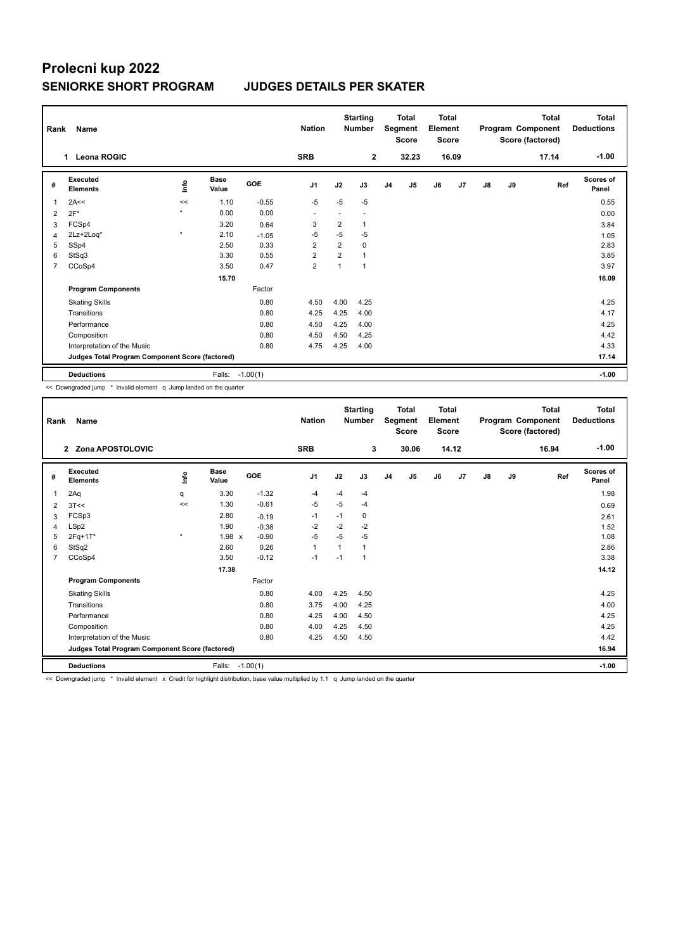## **Prolecni kup 2022 SENIORKE SHORT PROGRAM JUDGES DETAILS PER SKATER**

| Rank           | <b>Name</b>                                     |             |                      |            | <b>Nation</b>  |                | <b>Starting</b><br><b>Number</b> |                | <b>Total</b><br>Segment<br><b>Score</b> | <b>Total</b><br>Element<br><b>Score</b> |       |               |    | Total<br>Program Component<br>Score (factored) | Total<br><b>Deductions</b> |
|----------------|-------------------------------------------------|-------------|----------------------|------------|----------------|----------------|----------------------------------|----------------|-----------------------------------------|-----------------------------------------|-------|---------------|----|------------------------------------------------|----------------------------|
|                | <b>Leona ROGIC</b><br>1                         |             |                      |            | <b>SRB</b>     |                | $\overline{2}$                   |                | 32.23                                   |                                         | 16.09 |               |    | 17.14                                          | $-1.00$                    |
| #              | Executed<br><b>Elements</b>                     | <u>info</u> | <b>Base</b><br>Value | <b>GOE</b> | J <sub>1</sub> | J2             | J3                               | J <sub>4</sub> | J5                                      | J6                                      | J7    | $\mathsf{J}8$ | J9 | Ref                                            | <b>Scores of</b><br>Panel  |
| $\overline{1}$ | 2A<<                                            | <<          | 1.10                 | $-0.55$    | $-5$           | $-5$           | $-5$                             |                |                                         |                                         |       |               |    |                                                | 0.55                       |
| 2              | $2F*$                                           | $\star$     | 0.00                 | 0.00       | ٠              | ٠              |                                  |                |                                         |                                         |       |               |    |                                                | 0.00                       |
| 3              | FCSp4                                           |             | 3.20                 | 0.64       | 3              | 2              | 1                                |                |                                         |                                         |       |               |    |                                                | 3.84                       |
| $\overline{4}$ | 2Lz+2Loq*                                       | $\star$     | 2.10                 | $-1.05$    | $-5$           | $-5$           | $-5$                             |                |                                         |                                         |       |               |    |                                                | 1.05                       |
| 5              | SSp4                                            |             | 2.50                 | 0.33       | $\overline{2}$ | $\overline{2}$ | 0                                |                |                                         |                                         |       |               |    |                                                | 2.83                       |
| 6              | StSq3                                           |             | 3.30                 | 0.55       | $\overline{2}$ | $\overline{2}$ |                                  |                |                                         |                                         |       |               |    |                                                | 3.85                       |
| $\overline{7}$ | CCoSp4                                          |             | 3.50                 | 0.47       | $\overline{2}$ | $\mathbf{1}$   | 1                                |                |                                         |                                         |       |               |    |                                                | 3.97                       |
|                |                                                 |             | 15.70                |            |                |                |                                  |                |                                         |                                         |       |               |    |                                                | 16.09                      |
|                | <b>Program Components</b>                       |             |                      | Factor     |                |                |                                  |                |                                         |                                         |       |               |    |                                                |                            |
|                | <b>Skating Skills</b>                           |             |                      | 0.80       | 4.50           | 4.00           | 4.25                             |                |                                         |                                         |       |               |    |                                                | 4.25                       |
|                | Transitions                                     |             |                      | 0.80       | 4.25           | 4.25           | 4.00                             |                |                                         |                                         |       |               |    |                                                | 4.17                       |
|                | Performance                                     |             |                      | 0.80       | 4.50           | 4.25           | 4.00                             |                |                                         |                                         |       |               |    |                                                | 4.25                       |
|                | Composition                                     |             |                      | 0.80       | 4.50           | 4.50           | 4.25                             |                |                                         |                                         |       |               |    |                                                | 4.42                       |
|                | Interpretation of the Music                     |             |                      | 0.80       | 4.75           | 4.25           | 4.00                             |                |                                         |                                         |       |               |    |                                                | 4.33                       |
|                | Judges Total Program Component Score (factored) |             |                      |            |                |                |                                  |                |                                         |                                         |       |               |    |                                                | 17.14                      |
|                | <b>Deductions</b>                               |             | Falls: -1.00(1)      |            |                |                |                                  |                |                                         |                                         |       |               |    |                                                | $-1.00$                    |

<< Downgraded jump \* Invalid element q Jump landed on the quarter

| Rank           | Name                                                                                                                                                                                                                           |         |                      |            | <b>Nation</b>  |      | <b>Starting</b><br><b>Number</b> |                | <b>Total</b><br>Segment<br><b>Score</b> | <b>Total</b><br>Element<br><b>Score</b> |       |               |    | <b>Total</b><br>Program Component<br>Score (factored) | <b>Total</b><br><b>Deductions</b> |
|----------------|--------------------------------------------------------------------------------------------------------------------------------------------------------------------------------------------------------------------------------|---------|----------------------|------------|----------------|------|----------------------------------|----------------|-----------------------------------------|-----------------------------------------|-------|---------------|----|-------------------------------------------------------|-----------------------------------|
|                | 2 Zona APOSTOLOVIC                                                                                                                                                                                                             |         |                      |            | <b>SRB</b>     |      | 3                                |                | 30.06                                   |                                         | 14.12 |               |    | 16.94                                                 | $-1.00$                           |
| #              | Executed<br><b>Elements</b>                                                                                                                                                                                                    | ١nf٥    | <b>Base</b><br>Value | GOE        | J <sub>1</sub> | J2   | J3                               | J <sub>4</sub> | J5                                      | J6                                      | J7    | $\mathsf{J}8$ | J9 | Ref                                                   | Scores of<br>Panel                |
| 1              | 2Aq                                                                                                                                                                                                                            | q       | 3.30                 | $-1.32$    | $-4$           | $-4$ | $-4$                             |                |                                         |                                         |       |               |    |                                                       | 1.98                              |
| 2              | 3T <                                                                                                                                                                                                                           | <<      | 1.30                 | $-0.61$    | $-5$           | $-5$ | $-4$                             |                |                                         |                                         |       |               |    |                                                       | 0.69                              |
| 3              | FCSp3                                                                                                                                                                                                                          |         | 2.80                 | $-0.19$    | -1             | $-1$ | 0                                |                |                                         |                                         |       |               |    |                                                       | 2.61                              |
| 4              | LSp2                                                                                                                                                                                                                           |         | 1.90                 | $-0.38$    | $-2$           | $-2$ | $-2$                             |                |                                         |                                         |       |               |    |                                                       | 1.52                              |
| 5              | 2Fq+1T*                                                                                                                                                                                                                        | $\star$ | 1.98 x               | $-0.90$    | $-5$           | $-5$ | $-5$                             |                |                                         |                                         |       |               |    |                                                       | 1.08                              |
| 6              | StSq2                                                                                                                                                                                                                          |         | 2.60                 | 0.26       | $\mathbf{1}$   | 1    | 1                                |                |                                         |                                         |       |               |    |                                                       | 2.86                              |
| $\overline{7}$ | CCoSp4                                                                                                                                                                                                                         |         | 3.50                 | $-0.12$    | $-1$           | $-1$ | 1                                |                |                                         |                                         |       |               |    |                                                       | 3.38                              |
|                |                                                                                                                                                                                                                                |         | 17.38                |            |                |      |                                  |                |                                         |                                         |       |               |    |                                                       | 14.12                             |
|                | <b>Program Components</b>                                                                                                                                                                                                      |         |                      | Factor     |                |      |                                  |                |                                         |                                         |       |               |    |                                                       |                                   |
|                | <b>Skating Skills</b>                                                                                                                                                                                                          |         |                      | 0.80       | 4.00           | 4.25 | 4.50                             |                |                                         |                                         |       |               |    |                                                       | 4.25                              |
|                | Transitions                                                                                                                                                                                                                    |         |                      | 0.80       | 3.75           | 4.00 | 4.25                             |                |                                         |                                         |       |               |    |                                                       | 4.00                              |
|                | Performance                                                                                                                                                                                                                    |         |                      | 0.80       | 4.25           | 4.00 | 4.50                             |                |                                         |                                         |       |               |    |                                                       | 4.25                              |
|                | Composition                                                                                                                                                                                                                    |         |                      | 0.80       | 4.00           | 4.25 | 4.50                             |                |                                         |                                         |       |               |    |                                                       | 4.25                              |
|                | Interpretation of the Music                                                                                                                                                                                                    |         |                      | 0.80       | 4.25           | 4.50 | 4.50                             |                |                                         |                                         |       |               |    |                                                       | 4.42                              |
|                | Judges Total Program Component Score (factored)                                                                                                                                                                                |         |                      |            |                |      |                                  |                |                                         |                                         |       |               |    |                                                       | 16.94                             |
|                | <b>Deductions</b>                                                                                                                                                                                                              |         | Falls:               | $-1.00(1)$ |                |      |                                  |                |                                         |                                         |       |               |    |                                                       | $-1.00$                           |
|                | Betterhand of the College of the contract of Benedict Benedicties and the contract of the college of the contract of the contract of the contract of the contract of the contract of the contract of the contract of the contr |         |                      |            |                |      |                                  |                |                                         |                                         |       |               |    |                                                       |                                   |

<< Downgraded jump \* Invalid element x Credit for highlight distribution, base value multiplied by 1.1 q Jump landed on the quarter